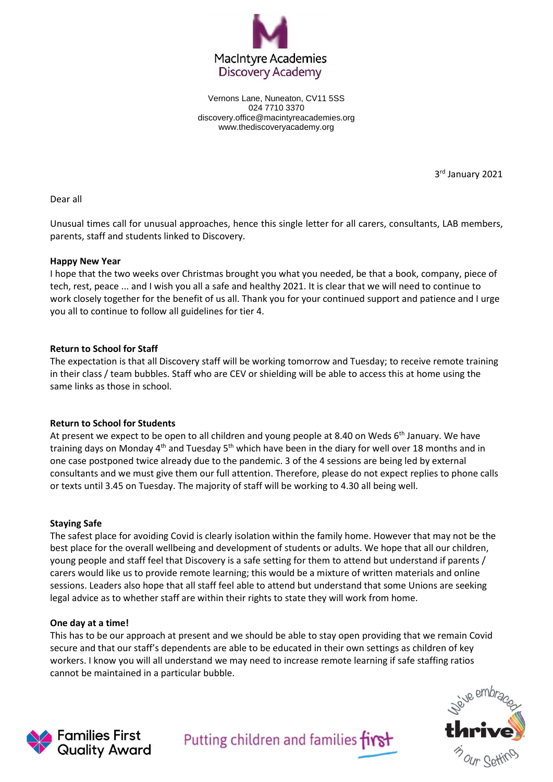

Vernons Lane, Nuneaton, CV11 5SS 024 7710 3370 discovery.office@macintyreacademies.org www.thediscoveryacademy.org

3 rd January 2021

Dear all

Unusual times call for unusual approaches, hence this single letter for all carers, consultants, LAB members, parents, staff and students linked to Discovery.

## **Happy New Year**

I hope that the two weeks over Christmas brought you what you needed, be that a book, company, piece of tech, rest, peace ... and I wish you all a safe and healthy 2021. It is clear that we will need to continue to work closely together for the benefit of us all. Thank you for your continued support and patience and I urge you all to continue to follow all guidelines for tier 4.

## **Return to School for Staff**

The expectation is that all Discovery staff will be working tomorrow and Tuesday; to receive remote training in their class / team bubbles. Staff who are CEV or shielding will be able to access this at home using the same links as those in school.

# **Return to School for Students**

At present we expect to be open to all children and young people at 8.40 on Weds  $6<sup>th</sup>$  January. We have training days on Monday 4<sup>th</sup> and Tuesday 5<sup>th</sup> which have been in the diary for well over 18 months and in one case postponed twice already due to the pandemic. 3 of the 4 sessions are being led by external consultants and we must give them our full attention. Therefore, please do not expect replies to phone calls or texts until 3.45 on Tuesday. The majority of staff will be working to 4.30 all being well.

### **Staying Safe**

The safest place for avoiding Covid is clearly isolation within the family home. However that may not be the best place for the overall wellbeing and development of students or adults. We hope that all our children, young people and staff feel that Discovery is a safe setting for them to attend but understand if parents / carers would like us to provide remote learning; this would be a mixture of written materials and online sessions. Leaders also hope that all staff feel able to attend but understand that some Unions are seeking legal advice as to whether staff are within their rights to state they will work from home.

### **One day at a time!**

This has to be our approach at present and we should be able to stay open providing that we remain Covid secure and that our staff's dependents are able to be educated in their own settings as children of key workers. I know you will all understand we may need to increase remote learning if safe staffing ratios cannot be maintained in a particular bubble.





Putting children and families first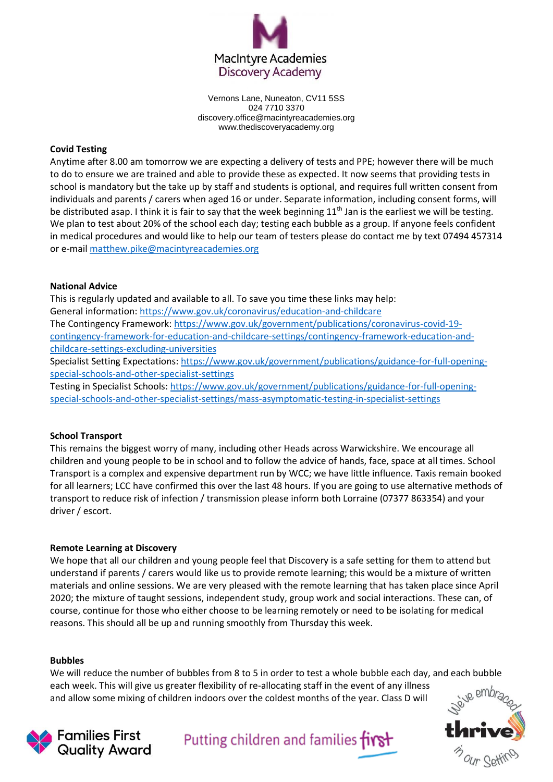

Vernons Lane, Nuneaton, CV11 5SS 024 7710 3370 discovery.office@macintyreacademies.org www.thediscoveryacademy.org

# **Covid Testing**

Anytime after 8.00 am tomorrow we are expecting a delivery of tests and PPE; however there will be much to do to ensure we are trained and able to provide these as expected. It now seems that providing tests in school is mandatory but the take up by staff and students is optional, and requires full written consent from individuals and parents / carers when aged 16 or under. Separate information, including consent forms, will be distributed asap. I think it is fair to say that the week beginning  $11<sup>th</sup>$  Jan is the earliest we will be testing. We plan to test about 20% of the school each day; testing each bubble as a group. If anyone feels confident in medical procedures and would like to help our team of testers please do contact me by text 07494 457314 or e-mai[l matthew.pike@macintyreacademies.org](mailto:matthew.pike@macintyreacademies.org)

# **National Advice**

This is regularly updated and available to all. To save you time these links may help: General information:<https://www.gov.uk/coronavirus/education-and-childcare> The Contingency Framework[: https://www.gov.uk/government/publications/coronavirus-covid-19](https://www.gov.uk/government/publications/coronavirus-covid-19-contingency-framework-for-education-and-childcare-settings/contingency-framework-education-and-childcare-settings-excluding-universities) [contingency-framework-for-education-and-childcare-settings/contingency-framework-education-and](https://www.gov.uk/government/publications/coronavirus-covid-19-contingency-framework-for-education-and-childcare-settings/contingency-framework-education-and-childcare-settings-excluding-universities)[childcare-settings-excluding-universities](https://www.gov.uk/government/publications/coronavirus-covid-19-contingency-framework-for-education-and-childcare-settings/contingency-framework-education-and-childcare-settings-excluding-universities)

Specialist Setting Expectations[: https://www.gov.uk/government/publications/guidance-for-full-opening](https://www.gov.uk/government/publications/guidance-for-full-opening-special-schools-and-other-specialist-settings)[special-schools-and-other-specialist-settings](https://www.gov.uk/government/publications/guidance-for-full-opening-special-schools-and-other-specialist-settings)

Testing in Specialist Schools: [https://www.gov.uk/government/publications/guidance-for-full-opening](https://www.gov.uk/government/publications/guidance-for-full-opening-special-schools-and-other-specialist-settings/mass-asymptomatic-testing-in-specialist-settings)[special-schools-and-other-specialist-settings/mass-asymptomatic-testing-in-specialist-settings](https://www.gov.uk/government/publications/guidance-for-full-opening-special-schools-and-other-specialist-settings/mass-asymptomatic-testing-in-specialist-settings)

# **School Transport**

This remains the biggest worry of many, including other Heads across Warwickshire. We encourage all children and young people to be in school and to follow the advice of hands, face, space at all times. School Transport is a complex and expensive department run by WCC; we have little influence. Taxis remain booked for all learners; LCC have confirmed this over the last 48 hours. If you are going to use alternative methods of transport to reduce risk of infection / transmission please inform both Lorraine (07377 863354) and your driver / escort.

### **Remote Learning at Discovery**

We hope that all our children and young people feel that Discovery is a safe setting for them to attend but understand if parents / carers would like us to provide remote learning; this would be a mixture of written materials and online sessions. We are very pleased with the remote learning that has taken place since April 2020; the mixture of taught sessions, independent study, group work and social interactions. These can, of course, continue for those who either choose to be learning remotely or need to be isolating for medical reasons. This should all be up and running smoothly from Thursday this week.

### **Bubbles**

We will reduce the number of bubbles from 8 to 5 in order to test a whole bubble each day, and each bubble each week. This will give us greater flexibility of re-allocating staff in the event of any illness and allow some mixing of children indoors over the coldest months of the year. Class D will





Putting children and families first